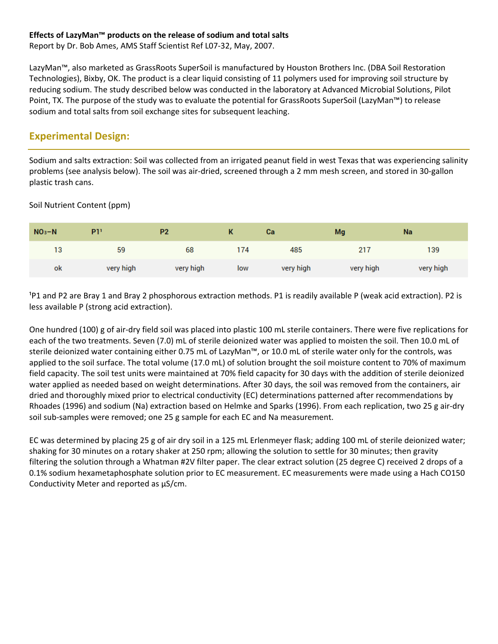#### **Effects of LazyMan™ products on the release of sodium and total salts**

Report by Dr. Bob Ames, AMS Staff Scientist Ref L07‐32, May, 2007.

LazyMan™, also marketed as GrassRoots SuperSoil is manufactured by Houston Brothers Inc. (DBA Soil Restoration Technologies), Bixby, OK. The product is a clear liquid consisting of 11 polymers used for improving soil structure by reducing sodium. The study described below was conducted in the laboratory at Advanced Microbial Solutions, Pilot Point, TX. The purpose of the study was to evaluate the potential for GrassRoots SuperSoil (LazyMan™) to release sodium and total salts from soil exchange sites for subsequent leaching.

# **Experimental Design:**

Sodium and salts extraction: Soil was collected from an irrigated peanut field in west Texas that was experiencing salinity problems (see analysis below). The soil was air‐dried, screened through a 2 mm mesh screen, and stored in 30‐gallon plastic trash cans.

Soil Nutrient Content (ppm)

| $NO3 - N$ | P1'       | P <sub>2</sub> |     | <b>Ca</b> | Mg        | Na        |
|-----------|-----------|----------------|-----|-----------|-----------|-----------|
| 13        | 59        | 68             | 174 | 485       | 217       | 139       |
| ok        | very high | very high      | low | very high | very high | very high |

<sup>1</sup>P1 and P2 are Bray 1 and Bray 2 phosphorous extraction methods. P1 is readily available P (weak acid extraction). P2 is less available P (strong acid extraction).

One hundred (100) g of air‐dry field soil was placed into plastic 100 mL sterile containers. There were five replications for each of the two treatments. Seven (7.0) mL of sterile deionized water was applied to moisten the soil. Then 10.0 mL of sterile deionized water containing either 0.75 mL of LazyMan™, or 10.0 mL of sterile water only for the controls, was applied to the soil surface. The total volume (17.0 mL) of solution brought the soil moisture content to 70% of maximum field capacity. The soil test units were maintained at 70% field capacity for 30 days with the addition of sterile deionized water applied as needed based on weight determinations. After 30 days, the soil was removed from the containers, air dried and thoroughly mixed prior to electrical conductivity (EC) determinations patterned after recommendations by Rhoades (1996) and sodium (Na) extraction based on Helmke and Sparks (1996). From each replication, two 25 g air‐dry soil sub‐samples were removed; one 25 g sample for each EC and Na measurement.

EC was determined by placing 25 g of air dry soil in a 125 mL Erlenmeyer flask; adding 100 mL of sterile deionized water; shaking for 30 minutes on a rotary shaker at 250 rpm; allowing the solution to settle for 30 minutes; then gravity filtering the solution through a Whatman #2V filter paper. The clear extract solution (25 degree C) received 2 drops of a 0.1% sodium hexametaphosphate solution prior to EC measurement. EC measurements were made using a Hach CO150 Conductivity Meter and reported as μS/cm.